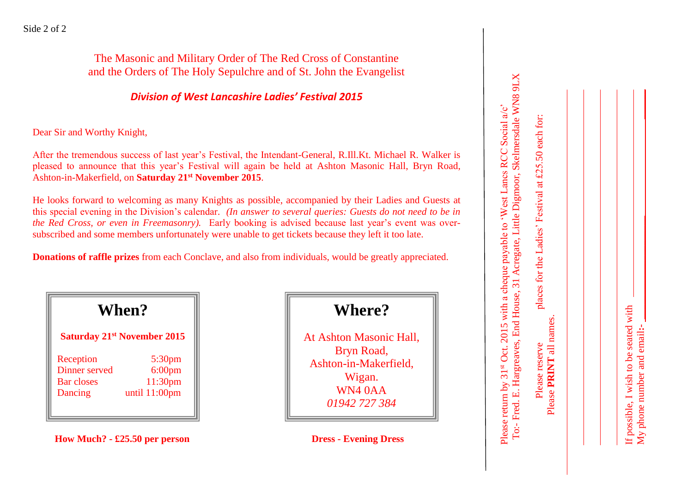The Masonic and Military Order of The Red Cross of Constantine and the Orders of The Holy Sepulchre and of St. John the Evangelist

#### *Division of West Lancashire Ladies' Festival 2015*

Dear Sir and Worthy Knight,

After the tremendous success of last year's Festival, the Intendant -General, R.Ill.Kt. Michael R. Walker is pleased to announce that this year's Festival will again be held at Ashton Masonic Hall, Bryn Road, Ashton -in -Makerfield, on **Saturday 21st November 2015** .

He looks forward to welcoming as many Knights as possible , accompanied by their Ladies and Guests at this special evening in the Division's calendar. *(In answer to several queries: Guests do not need to be in the Red Cross, or even in Freemasonry).* Early booking is advised because last year's event was over subscribed and some members unfortunately were unable to get tickets because they left it too late.

**Donations of raffle prizes** from each Conclave, and also from individuals, would be greatly appreciated.

| When?             |                                    |
|-------------------|------------------------------------|
|                   | <b>Saturday 21st November 2015</b> |
| Reception         | 5:30 <sub>pm</sub>                 |
| Dinner served     | $6:00$ pm                          |
| <b>Bar closes</b> | 11:30pm                            |
| Dancing           | until 11:00pm                      |

**How Much? - £25.50 per person Dress** 

**Where?**

At Ashton Masonic Hall, Bryn Road, Ashton -in -Makerfield, Wigan. WN4 0AA *01942 727 384*

**- Evening Dress**

| To:- Fred. E. Hargreaves, End House, 31 Acregate, Little Digmoor, Skelmersdale WN8 9LX<br>Please return by 31 <sup>st</sup> Oct. 2015 with a cheque payable to 'West Lancs RCC Social a/c' |
|--------------------------------------------------------------------------------------------------------------------------------------------------------------------------------------------|
|                                                                                                                                                                                            |

Please **PRINT** all names.

My phone number and email**:- \_\_\_\_\_\_\_\_\_\_\_\_\_\_\_\_\_\_\_\_\_ \_\_\_\_\_\_** f possible, I wish to be seated with If possible, I wish to be seated with My phone number and email:-